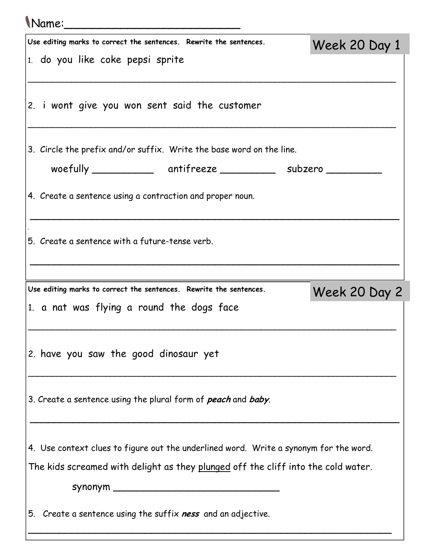| Name:                                                                                 |               |  |
|---------------------------------------------------------------------------------------|---------------|--|
| Use editing marks to correct the sentences. Rewrite the sentences.                    | Week 20 Day 1 |  |
| 1. do you like coke pepsi sprite                                                      |               |  |
| 2. i wont give you won sent said the customer                                         |               |  |
| 3. Circle the prefix and/or suffix. Write the base word on the line.                  |               |  |
| woefully ________________ antifreeze ____________ subzero ________                    |               |  |
| 4. Create a sentence using a contraction and proper noun.                             |               |  |
| 5. Create a sentence with a future-tense verb.                                        |               |  |
| Use editing marks to correct the sentences. Rewrite the sentences.                    |               |  |
| 1. a nat was flying a round the dogs face                                             | Week 20 Day 2 |  |
| 2. have you saw the good dinosaur yet                                                 |               |  |
| 3. Create a sentence using the plural form of peach and baby.                         |               |  |
|                                                                                       |               |  |
| 4. Use context clues to figure out the underlined word. Write a synonym for the word. |               |  |
| The kids screamed with delight as they plunged off the cliff into the cold water.     |               |  |
| 5. Create a sentence using the suffix ness and an adjective.                          |               |  |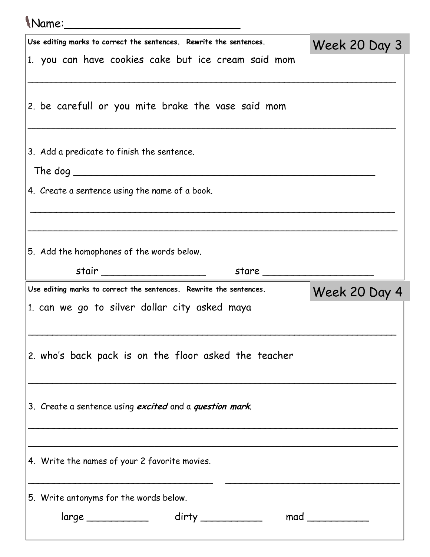| Mame:                                                                                                               |               |
|---------------------------------------------------------------------------------------------------------------------|---------------|
| Use editing marks to correct the sentences. Rewrite the sentences.                                                  | Week 20 Day 3 |
| 1. you can have cookies cake but ice cream said mom                                                                 |               |
| 2. be carefull or you mite brake the vase said mom                                                                  |               |
| 3. Add a predicate to finish the sentence.                                                                          |               |
| 4. Create a sentence using the name of a book.                                                                      |               |
| 5. Add the homophones of the words below.                                                                           |               |
| stair ______________________<br>stare                                                                               |               |
|                                                                                                                     |               |
| Use editing marks to correct the sentences. Rewrite the sentences.<br>1. can we go to silver dollar city asked maya | Week 20 Day 4 |
| 2. who's back pack is on the floor asked the teacher                                                                |               |
| 3. Create a sentence using excited and a question mark.                                                             |               |
| 4. Write the names of your 2 favorite movies.                                                                       |               |
| 5. Write antonyms for the words below.                                                                              |               |